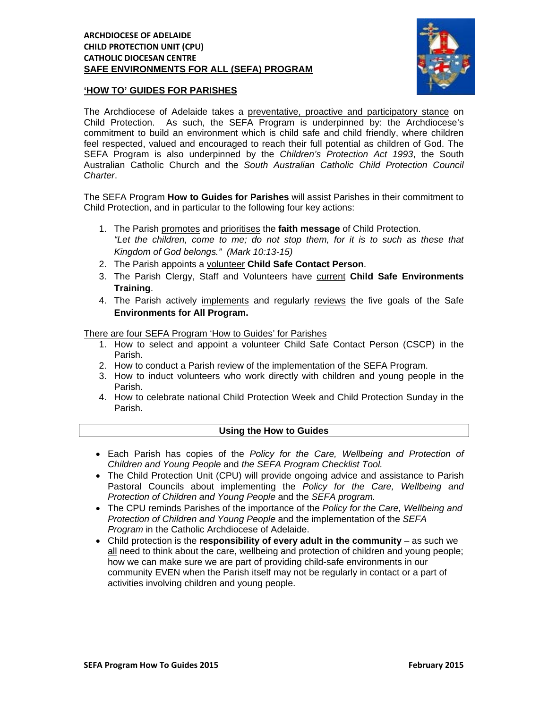### **ARCHDIOCESE OF ADELAIDE CHILD PROTECTION UNIT (CPU) CATHOLIC DIOCESAN CENTRE SAFE ENVIRONMENTS FOR ALL (SEFA) PROGRAM**



## **'HOW TO' GUIDES FOR PARISHES**

The Archdiocese of Adelaide takes a preventative, proactive and participatory stance on Child Protection. As such, the SEFA Program is underpinned by: the Archdiocese's commitment to build an environment which is child safe and child friendly, where children feel respected, valued and encouraged to reach their full potential as children of God. The SEFA Program is also underpinned by the *Children's Protection Act 1993*, the South Australian Catholic Church and the *South Australian Catholic Child Protection Council Charter*.

The SEFA Program **How to Guides for Parishes** will assist Parishes in their commitment to Child Protection, and in particular to the following four key actions:

- 1. The Parish promotes and prioritises the **faith message** of Child Protection. *"Let the children, come to me; do not stop them, for it is to such as these that Kingdom of God belongs." (Mark 10:13-15)*
- 2. The Parish appoints a volunteer **Child Safe Contact Person**.
- 3. The Parish Clergy, Staff and Volunteers have current **Child Safe Environments Training**.
- 4. The Parish actively implements and regularly reviews the five goals of the Safe **Environments for All Program.**

There are four SEFA Program 'How to Guides' for Parishes

- 1. How to select and appoint a volunteer Child Safe Contact Person (CSCP) in the Parish.
- 2. How to conduct a Parish review of the implementation of the SEFA Program.
- 3. How to induct volunteers who work directly with children and young people in the Parish.
- 4. How to celebrate national Child Protection Week and Child Protection Sunday in the Parish.

# **Using the How to Guides**

- Each Parish has copies of the *Policy for the Care, Wellbeing and Protection of Children and Young People* and *the SEFA Program Checklist Tool.*
- The Child Protection Unit (CPU) will provide ongoing advice and assistance to Parish Pastoral Councils about implementing the *Policy for the Care, Wellbeing and Protection of Children and Young People* and the *SEFA program.*
- The CPU reminds Parishes of the importance of the *Policy for the Care, Wellbeing and Protection of Children and Young People* and the implementation of the *SEFA*  **Program in the Catholic Archdiocese of Adelaide.**
- Child protection is the **responsibility of every adult in the community** as such we all need to think about the care, wellbeing and protection of children and young people; how we can make sure we are part of providing child-safe environments in our community EVEN when the Parish itself may not be regularly in contact or a part of activities involving children and young people.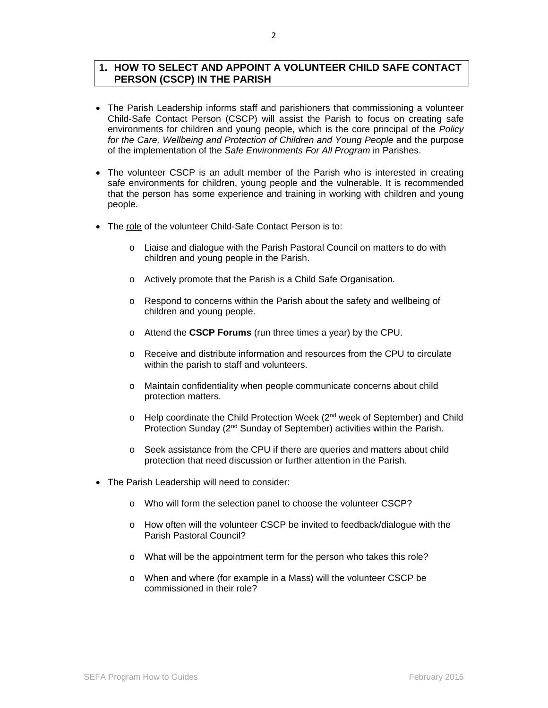# **1. HOW TO SELECT AND APPOINT A VOLUNTEER CHILD SAFE CONTACT PERSON (CSCP) IN THE PARISH**

- The Parish Leadership informs staff and parishioners that commissioning a volunteer Child-Safe Contact Person (CSCP) will assist the Parish to focus on creating safe environments for children and young people, which is the core principal of the *Policy*  for the Care, Wellbeing and Protection of Children and Young People and the purpose of the implementation of the *Safe Environments For All Program* in Parishes.
- The volunteer CSCP is an adult member of the Parish who is interested in creating safe environments for children, young people and the vulnerable. It is recommended that the person has some experience and training in working with children and young people.
- The role of the volunteer Child-Safe Contact Person is to:
	- o Liaise and dialogue with the Parish Pastoral Council on matters to do with children and young people in the Parish.
	- o Actively promote that the Parish is a Child Safe Organisation.
	- $\circ$  Respond to concerns within the Parish about the safety and wellbeing of children and young people.
	- o Attend the **CSCP Forums** (run three times a year) by the CPU.
	- o Receive and distribute information and resources from the CPU to circulate within the parish to staff and volunteers.
	- o Maintain confidentiality when people communicate concerns about child protection matters.
	- $\circ$  Help coordinate the Child Protection Week ( $2^{nd}$  week of September) and Child Protection Sunday (2<sup>nd</sup> Sunday of September) activities within the Parish.
	- o Seek assistance from the CPU if there are queries and matters about child protection that need discussion or further attention in the Parish.
- The Parish Leadership will need to consider:
	- o Who will form the selection panel to choose the volunteer CSCP?
	- o How often will the volunteer CSCP be invited to feedback/dialogue with the Parish Pastoral Council?
	- o What will be the appointment term for the person who takes this role?
	- o When and where (for example in a Mass) will the volunteer CSCP be commissioned in their role?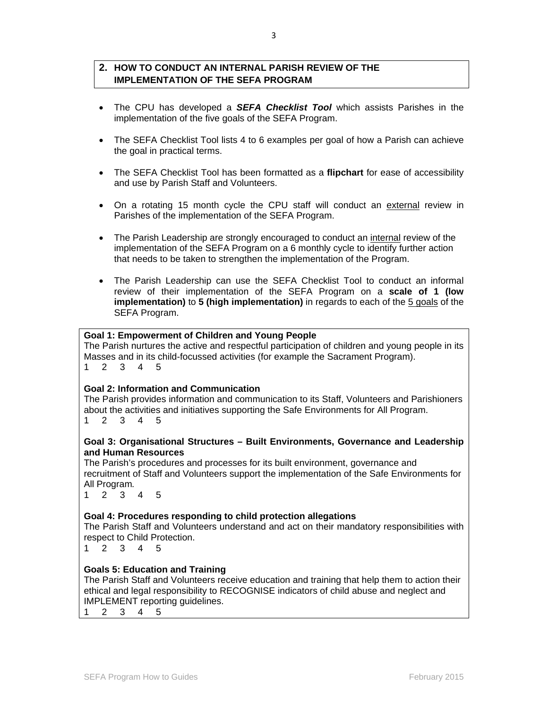# **2. HOW TO CONDUCT AN INTERNAL PARISH REVIEW OF THE IMPLEMENTATION OF THE SEFA PROGRAM**

- The CPU has developed a *SEFA Checklist Tool* which assists Parishes in the implementation of the five goals of the SEFA Program.
- The SEFA Checklist Tool lists 4 to 6 examples per goal of how a Parish can achieve the goal in practical terms.
- The SEFA Checklist Tool has been formatted as a **flipchart** for ease of accessibility and use by Parish Staff and Volunteers.
- On a rotating 15 month cycle the CPU staff will conduct an external review in Parishes of the implementation of the SEFA Program.
- The Parish Leadership are strongly encouraged to conduct an internal review of the implementation of the SEFA Program on a 6 monthly cycle to identify further action that needs to be taken to strengthen the implementation of the Program.
- The Parish Leadership can use the SEFA Checklist Tool to conduct an informal review of their implementation of the SEFA Program on a **scale of 1 (low implementation)** to **5 (high implementation)** in regards to each of the 5 goals of the SEFA Program.

## **Goal 1: Empowerment of Children and Young People**

The Parish nurtures the active and respectful participation of children and young people in its Masses and in its child-focussed activities (for example the Sacrament Program). 1 2 3 4 5

#### **Goal 2: Information and Communication**

The Parish provides information and communication to its Staff, Volunteers and Parishioners about the activities and initiatives supporting the Safe Environments for All Program.

1 2 3 4 5

### **Goal 3: Organisational Structures – Built Environments, Governance and Leadership and Human Resources**

The Parish's procedures and processes for its built environment, governance and recruitment of Staff and Volunteers support the implementation of the Safe Environments for All Program*.* 

1 2 3 4 5

## **Goal 4: Procedures responding to child protection allegations**

The Parish Staff and Volunteers understand and act on their mandatory responsibilities with respect to Child Protection.

1 2 3 4 5

## **Goals 5: Education and Training**

The Parish Staff and Volunteers receive education and training that help them to action their ethical and legal responsibility to RECOGNISE indicators of child abuse and neglect and IMPLEMENT reporting guidelines.

1 2 3 4 5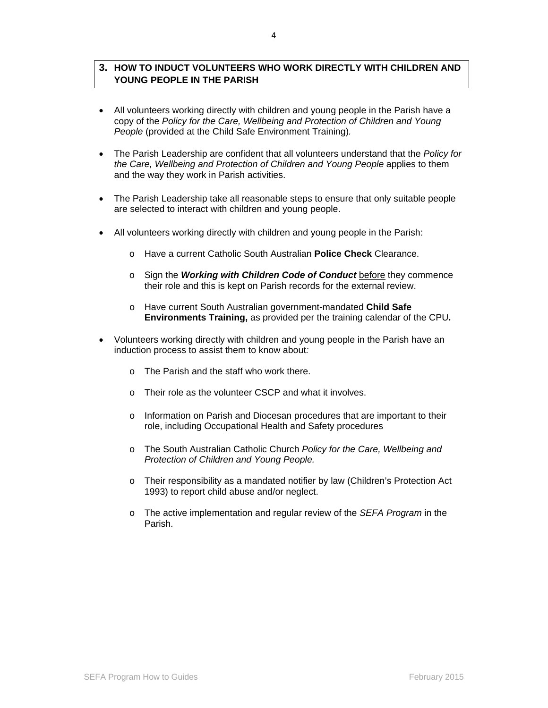## **3. HOW TO INDUCT VOLUNTEERS WHO WORK DIRECTLY WITH CHILDREN AND YOUNG PEOPLE IN THE PARISH**

- All volunteers working directly with children and young people in the Parish have a copy of the *Policy for the Care, Wellbeing and Protection of Children and Young People* (provided at the Child Safe Environment Training)*.*
- The Parish Leadership are confident that all volunteers understand that the *Policy for the Care, Wellbeing and Protection of Children and Young People* applies to them and the way they work in Parish activities.
- The Parish Leadership take all reasonable steps to ensure that only suitable people are selected to interact with children and young people.
- All volunteers working directly with children and young people in the Parish:
	- o Have a current Catholic South Australian **Police Check** Clearance.
	- o Sign the *Working with Children Code of Conduct* before they commence their role and this is kept on Parish records for the external review.
	- o Have current South Australian government-mandated **Child Safe Environments Training,** as provided per the training calendar of the CPU*.*
- Volunteers working directly with children and young people in the Parish have an induction process to assist them to know about*:*
	- o The Parish and the staff who work there.
	- o Their role as the volunteer CSCP and what it involves.
	- o Information on Parish and Diocesan procedures that are important to their role, including Occupational Health and Safety procedures
	- o The South Australian Catholic Church *Policy for the Care, Wellbeing and Protection of Children and Young People.*
	- o Their responsibility as a mandated notifier by law (Children's Protection Act 1993) to report child abuse and/or neglect.
	- o The active implementation and regular review of the *SEFA Program* in the Parish.